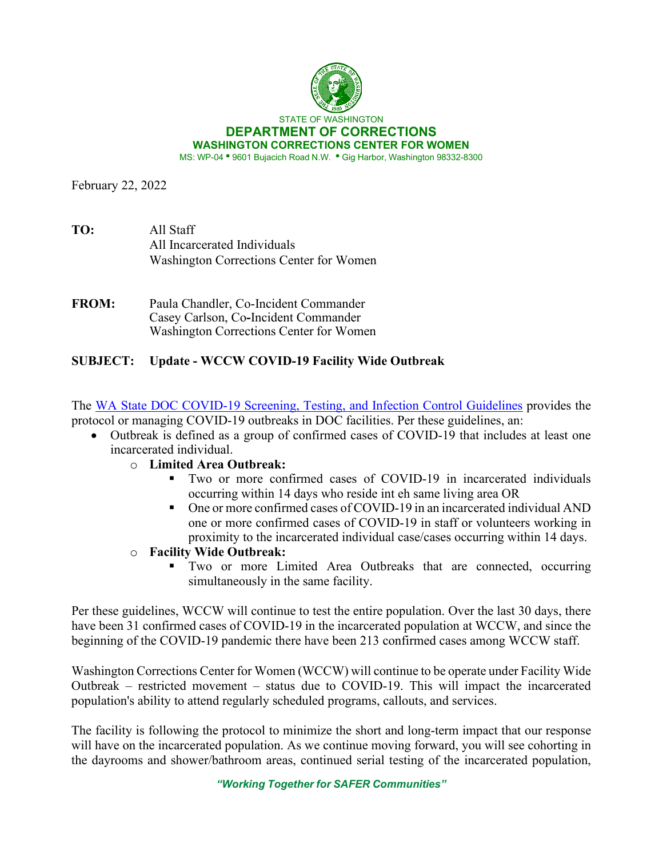

February 22, 2022

| TO: | All Staff                               |
|-----|-----------------------------------------|
|     | All Incarcerated Individuals            |
|     | Washington Corrections Center for Women |

**FROM:** Paula Chandler, Co-Incident Commander Casey Carlson, Co**-**Incident Commander Washington Corrections Center for Women

## **SUBJECT: Update - WCCW COVID-19 Facility Wide Outbreak**

The [WA State DOC COVID-19 Screening, Testing, and Infection Control Guidelines](https://doc.wa.gov/corrections/covid-19/docs/screening-testing-infection-control-guideline.pdf) provides the protocol or managing COVID-19 outbreaks in DOC facilities. Per these guidelines, an:

- Outbreak is defined as a group of confirmed cases of COVID-19 that includes at least one incarcerated individual.
	- o **Limited Area Outbreak:**
		- Two or more confirmed cases of COVID-19 in incarcerated individuals occurring within 14 days who reside int eh same living area OR
		- One or more confirmed cases of COVID-19 in an incarcerated individual AND one or more confirmed cases of COVID-19 in staff or volunteers working in proximity to the incarcerated individual case/cases occurring within 14 days.
	- o **Facility Wide Outbreak:**
		- Two or more Limited Area Outbreaks that are connected, occurring simultaneously in the same facility.

Per these guidelines, WCCW will continue to test the entire population. Over the last 30 days, there have been 31 confirmed cases of COVID-19 in the incarcerated population at WCCW, and since the beginning of the COVID-19 pandemic there have been 213 confirmed cases among WCCW staff.

Washington Corrections Center for Women (WCCW) will continue to be operate under Facility Wide Outbreak – restricted movement – status due to COVID-19. This will impact the incarcerated population's ability to attend regularly scheduled programs, callouts, and services.

The facility is following the protocol to minimize the short and long-term impact that our response will have on the incarcerated population. As we continue moving forward, you will see cohorting in the dayrooms and shower/bathroom areas, continued serial testing of the incarcerated population,

*"Working Together for SAFER Communities"*